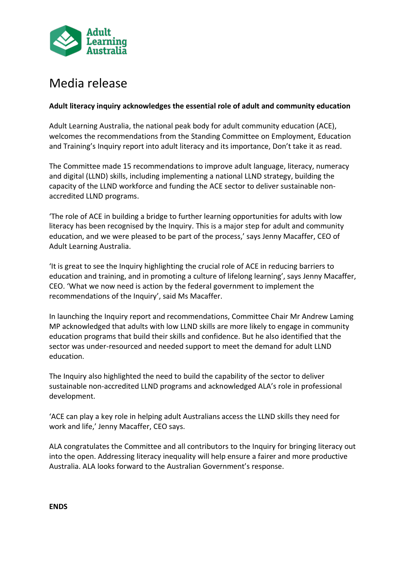

# Media release

## **Adult literacy inquiry acknowledges the essential role of adult and community education**

Adult Learning Australia, the national peak body for adult community education (ACE), welcomes the recommendations from the Standing Committee on Employment, Education and Training's Inquiry report into adult literacy and its importance, Don't take it as read.

The Committee made 15 recommendations to improve adult language, literacy, numeracy and digital (LLND) skills, including implementing a national LLND strategy, building the capacity of the LLND workforce and funding the ACE sector to deliver sustainable nonaccredited LLND programs.

'The role of ACE in building a bridge to further learning opportunities for adults with low literacy has been recognised by the Inquiry. This is a major step for adult and community education, and we were pleased to be part of the process,' says Jenny Macaffer, CEO of Adult Learning Australia.

'It is great to see the Inquiry highlighting the crucial role of ACE in reducing barriers to education and training, and in promoting a culture of lifelong learning', says Jenny Macaffer, CEO. 'What we now need is action by the federal government to implement the recommendations of the Inquiry', said Ms Macaffer.

In launching the Inquiry report and recommendations, Committee Chair Mr Andrew Laming MP acknowledged that adults with low LLND skills are more likely to engage in community education programs that build their skills and confidence. But he also identified that the sector was under-resourced and needed support to meet the demand for adult LLND education.

The Inquiry also highlighted the need to build the capability of the sector to deliver sustainable non-accredited LLND programs and acknowledged ALA's role in professional development.

'ACE can play a key role in helping adult Australians access the LLND skills they need for work and life,' Jenny Macaffer, CEO says.

ALA congratulates the Committee and all contributors to the Inquiry for bringing literacy out into the open. Addressing literacy inequality will help ensure a fairer and more productive Australia. ALA looks forward to the Australian Government's response.

**ENDS**